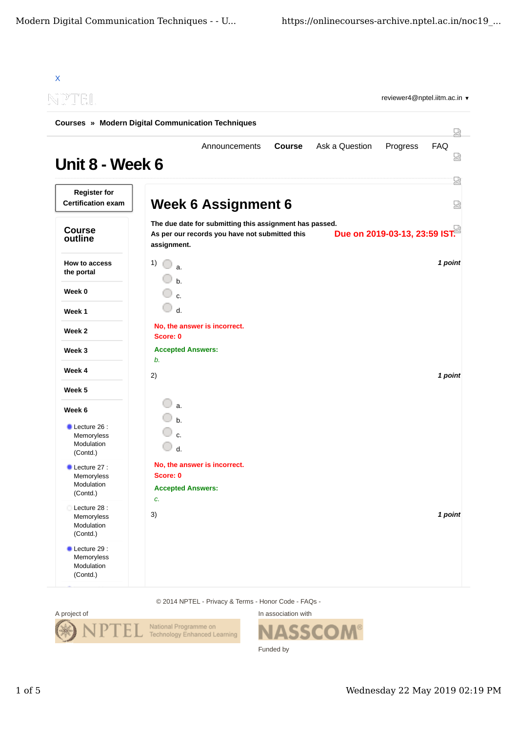| NPTEL                                                          |                                                                      |                                                                                                           |               |                | reviewer4@nptel.iitm.ac.in ▼  |                 |
|----------------------------------------------------------------|----------------------------------------------------------------------|-----------------------------------------------------------------------------------------------------------|---------------|----------------|-------------------------------|-----------------|
| <b>Courses » Modern Digital Communication Techniques</b>       |                                                                      |                                                                                                           |               |                |                               |                 |
| Unit 8 - Week 6                                                |                                                                      | Announcements                                                                                             | <b>Course</b> | Ask a Question | Progress                      | <b>FAQ</b><br>요 |
| <b>Register for</b><br><b>Certification exam</b>               |                                                                      | <b>Week 6 Assignment 6</b>                                                                                |               |                |                               |                 |
| <b>Course</b><br>outline                                       | assignment.                                                          | The due date for submitting this assignment has passed.<br>As per our records you have not submitted this |               |                | Due on 2019-03-13, 23:59 IST. |                 |
| How to access<br>the portal                                    | 1)<br>a.<br>$h$ .                                                    |                                                                                                           |               |                |                               | 1 point         |
| Week 0                                                         | $\mathbf{c}$ .                                                       |                                                                                                           |               |                |                               |                 |
| Week 1                                                         | d.                                                                   |                                                                                                           |               |                |                               |                 |
| Week 2                                                         | No, the answer is incorrect.<br>Score: 0                             |                                                                                                           |               |                |                               |                 |
| Week 3                                                         | <b>Accepted Answers:</b>                                             |                                                                                                           |               |                |                               |                 |
| Week 4                                                         | b.<br>2)                                                             |                                                                                                           |               |                |                               | 1 point         |
| Week 5                                                         |                                                                      |                                                                                                           |               |                |                               |                 |
| Week 6                                                         | a.                                                                   |                                                                                                           |               |                |                               |                 |
| Lecture 26 :<br>Memoryless<br>Modulation<br>(Contd.)           | $h_{1}$<br>d.                                                        |                                                                                                           |               |                |                               |                 |
| Lecture 27 :<br>Memoryless<br>Modulation<br>(Contd.)           | No, the answer is incorrect.<br>Score: 0<br><b>Accepted Answers:</b> |                                                                                                           |               |                |                               |                 |
| Lecture 28 :<br>Memoryless<br>Modulation<br>(Contd.)           | c.<br>3)                                                             |                                                                                                           |               |                |                               | 1 point         |
| $\bullet$ Lecture 29 :<br>Memoryless<br>Modulation<br>(Contd.) |                                                                      |                                                                                                           |               |                |                               |                 |

14 NPTEL - Privacy & Terms - Honor Code - FAQs



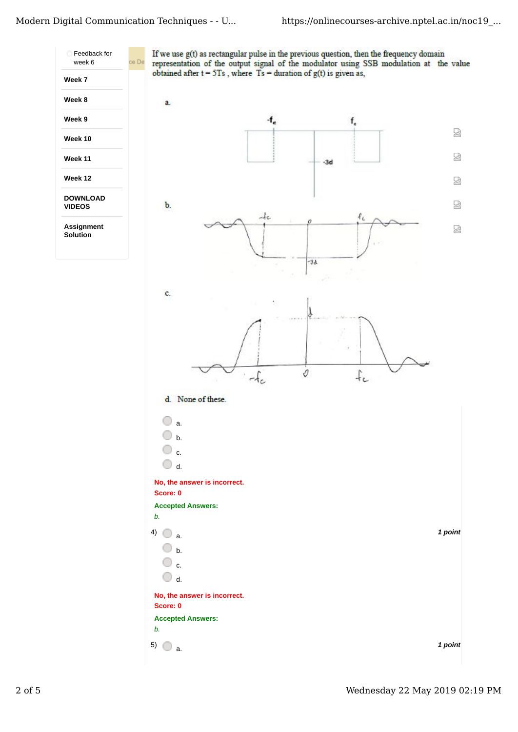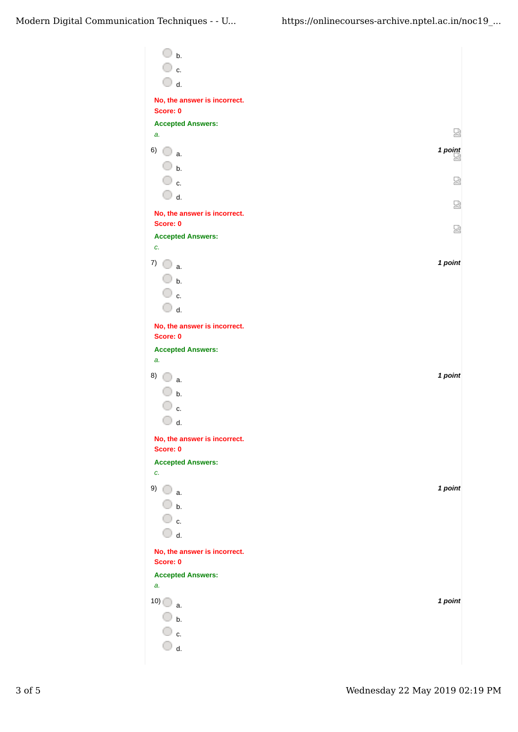| b.                             |         |
|--------------------------------|---------|
| ○ c.                           |         |
| $\bigcirc$ d.                  |         |
| No, the answer is incorrect.   |         |
| Score: 0                       |         |
| <b>Accepted Answers:</b><br>a. | 덣       |
| 6)<br>0<br>a.                  | 1 point |
| $\overline{\mathbb{O}}$ b.     |         |
| ○ c.                           | 썮       |
| $\bigcirc$ d.                  |         |
| No, the answer is incorrect.   | ₩       |
| Score: 0                       | 덣       |
| <b>Accepted Answers:</b><br>c. |         |
| 7)                             | 1 point |
| a.<br>$\Box$ b.                |         |
| ○ c.                           |         |
| $\overline{\mathbb{O}}$ d.     |         |
| No, the answer is incorrect.   |         |
| Score: 0                       |         |
| <b>Accepted Answers:</b><br>a. |         |
| 8)                             | 1 point |
| a.                             |         |
| $\cup$ b.<br>$\mathbf{c}$ .    |         |
| d.                             |         |
| No, the answer is incorrect.   |         |
| Score: 0                       |         |
| <b>Accepted Answers:</b>       |         |
| c.                             | 1 point |
| 9) $\bigcirc$ a.               |         |
| $\bigcirc$ b.<br>○ c.          |         |
| $\bigcirc$ d.                  |         |
| No, the answer is incorrect.   |         |
| Score: 0                       |         |
| <b>Accepted Answers:</b>       |         |
| a.                             |         |
| 10)<br>a.                      | 1 point |
| $\Box$ b.                      |         |
| $\mathbb O$ c.                 |         |
| d.                             |         |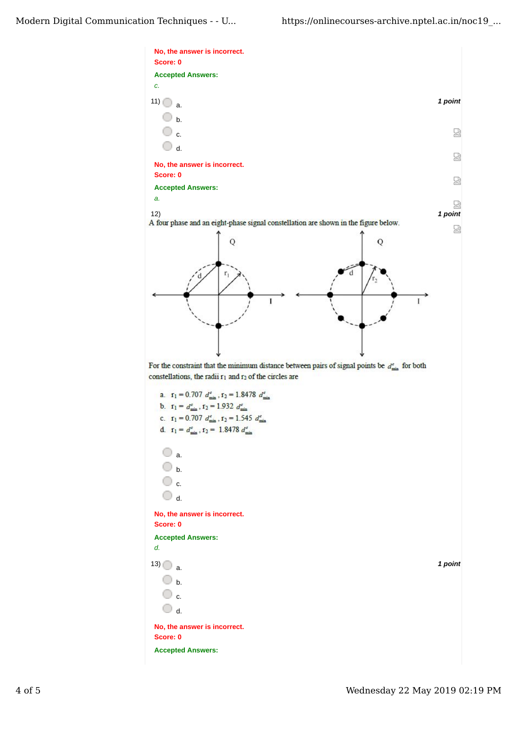